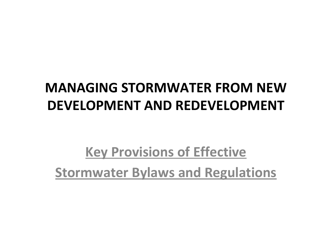### **MANAGING STORMWATER FROM NEW DEVELOPMENT AND REDEVELOPMENT**

### **Key Provisions of Effective Stormwater Bylaws and Regulations**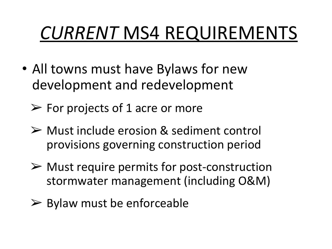# *CURRENT* MS4 REQUIREMENTS

- All towns must have Bylaws for new development and redevelopment
	- $\triangleright$  For projects of 1 acre or more
	- ➢ Must include erosion & sediment control provisions governing construction period
	- $\triangleright$  Must require permits for post-construction stormwater management (including O&M)
	- $\triangleright$  Bylaw must be enforceable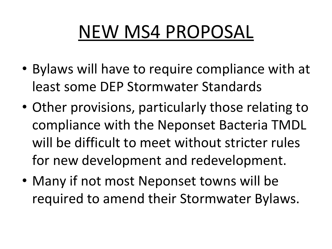## NEW MS4 PROPOSAL

- Bylaws will have to require compliance with at least some DEP Stormwater Standards
- Other provisions, particularly those relating to compliance with the Neponset Bacteria TMDL will be difficult to meet without stricter rules for new development and redevelopment.
- Many if not most Neponset towns will be required to amend their Stormwater Bylaws.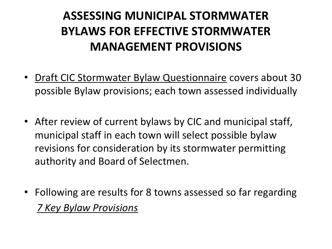#### **ASSESSING MUNICIPAL STORMWATER BYLAWS FOR EFFECTIVE STORMWATER MANAGEMENT PROVISIONS**

- Draft CIC Stormwater Bylaw Questionnaire covers about 30 possible Bylaw provisions; each town assessed individually
- After review of current bylaws by CIC and municipal staff, municipal staff in each town will select possible bylaw revisions for consideration by its stormwater permitting authority and Board of Selectmen.
- Following are results for 8 towns assessed so far regarding *7 Key Bylaw Provisions*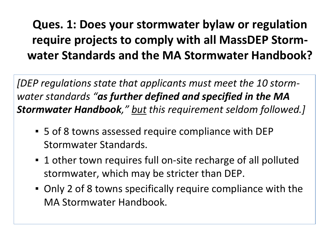#### **Ques. 1: Does your stormwater bylaw or regulation require projects to comply with all MassDEP Stormwater Standards and the MA Stormwater Handbook?**

*[DEP regulations state that applicants must meet the 10 stormwater standards "as further defined and specified in the MA Stormwater Handbook," but this requirement seldom followed.]*

- 5 of 8 towns assessed require compliance with DEP Stormwater Standards.
- 1 other town requires full on-site recharge of all polluted stormwater, which may be stricter than DEP.
- Only 2 of 8 towns specifically require compliance with the MA Stormwater Handbook.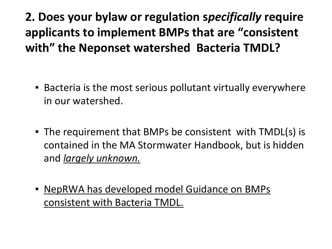**2. Does your bylaw or regulation s***pecifically* **require applicants to implement BMPs that are "consistent with" the Neponset watershed Bacteria TMDL?**

- Bacteria is the most serious pollutant virtually everywhere in our watershed.
- The requirement that BMPs be consistent with TMDL(s) is contained in the MA Stormwater Handbook, but is hidden and *largely unknown.*
- **EXECTS IN A NOTE 10 A NORTH MORE CONCRYSTS IN A NORTH SINGLE PROPERTY ISSUES** consistent with Bacteria TMDL.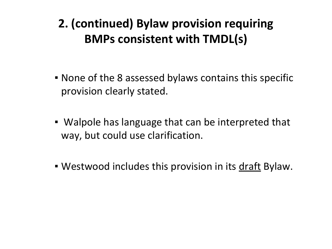#### **2. (continued) Bylaw provision requiring BMPs consistent with TMDL(s)**

- None of the 8 assessed bylaws contains this specific provision clearly stated.
- Walpole has language that can be interpreted that way, but could use clarification.
- **Westwood includes this provision in its draft Bylaw.**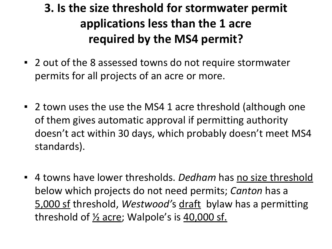#### **3. Is the size threshold for stormwater permit applications less than the 1 acre required by the MS4 permit?**

- 2 out of the 8 assessed towns do not require stormwater permits for all projects of an acre or more.
- 2 town uses the use the MS4 1 acre threshold (although one of them gives automatic approval if permitting authority doesn't act within 30 days, which probably doesn't meet MS4 standards).
- 4 towns have lower thresholds. *Dedham* has no size threshold below which projects do not need permits; *Canton* has a 5,000 sf threshold, *Westwood'*s draft bylaw has a permitting threshold of  $\frac{1}{2}$  acre; Walpole's is  $\frac{40,000 \text{ sf.}}{2000 \text{ sf.}}$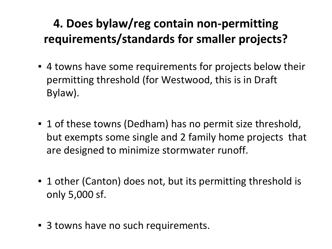#### **4. Does bylaw/reg contain non-permitting requirements/standards for smaller projects?**

- 4 towns have some requirements for projects below their permitting threshold (for Westwood, this is in Draft Bylaw).
- 1 of these towns (Dedham) has no permit size threshold, but exempts some single and 2 family home projects that are designed to minimize stormwater runoff.
- 1 other (Canton) does not, but its permitting threshold is only 5,000 sf.
- 3 towns have no such requirements.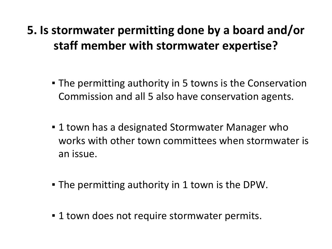#### **5. Is stormwater permitting done by a board and/or staff member with stormwater expertise?**

- The permitting authority in 5 towns is the Conservation Commission and all 5 also have conservation agents.
- **.** 1 town has a designated Stormwater Manager who works with other town committees when stormwater is an issue.
- **The permitting authority in 1 town is the DPW.**
- 1 town does not require stormwater permits.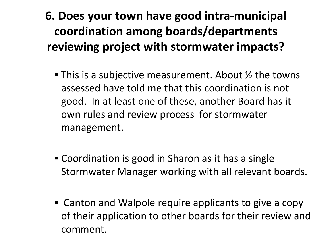#### **6. Does your town have good intra-municipal coordination among boards/departments reviewing project with stormwater impacts?**

- **This is a subjective measurement. About**  $\frac{1}{2}$  **the towns** assessed have told me that this coordination is not good. In at least one of these, another Board has it own rules and review process for stormwater management.
- Coordination is good in Sharon as it has a single Stormwater Manager working with all relevant boards.
- Canton and Walpole require applicants to give a copy of their application to other boards for their review and comment.